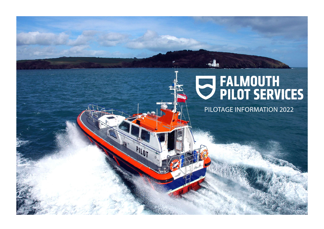# U FALMOUTH<br>U PILOT SERVICES

PILOTAGE INFORMATION 2022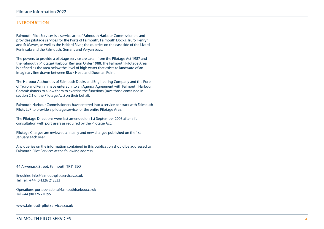# INTRODUCTION

Falmouth Pilot Services is a service arm of Falmouth Harbour Commissioners and provides pilotage services for the Ports of Falmouth, Falmouth Docks, Truro, Penryn and St Mawes, as well as the Helford River, the quarries on the east side of the Lizard Peninsula and the Falmouth, Gerrans and Veryan bays.

The powers to provide a pilotage service are taken from the Pilotage Act 1987 and the Falmouth (Pilotage) Harbour Revision Order 1988. The Falmouth Pilotage Area is defined as the area below the level of high water that exists to landward of an imaginary line drawn between Black Head and Dodman Point.

The Harbour Authorities of Falmouth Docks and Engineering Company and the Ports of Truro and Penryn have entered into an Agency Agreement with Falmouth Harbour Commissioners to allow them to exercise the functions (save those contained in section 2.1 of the Pilotage Act) on their behalf.

Falmouth Harbour Commissioners have entered into a service contract with Falmouth Pilots LLP to provide a pilotage service for the entire Pilotage Area.

The Pilotage Directions were last amended on 1st September 2003 after a full consultation with port users as required by the Pilotage Act.

Pilotage Charges are reviewed annually and new charges published on the 1st January each year.

Any queries on the information contained in this publication should be addressed to Falmouth Pilot Services at the following address:

44 Arwenack Street, Falmouth TR11 3JQ

Enquiries: info@falmouthpilotservices.co.uk Tel: Tel: +44 (0)1326 213533

Operations: portoperations@falmouthharbour.co.uk Tel: +44 (01326 211395

www.falmouth pilot services.co.uk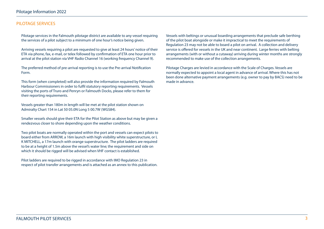# PILOTAGE SERVICES

Pilotage services in the Falmouth pilotage district are available to any vessel requiring the services of a pilot subject to a minimum of one hour's notice being given.

Arriving vessels requiring a pilot are requested to give at least 24 hours' notice of their ETA via phone, fax, e-mail, or telex followed by confirmation of ETA one hour prior to arrival at the pilot station via VHF Radio Channel 16 (working frequency Channel 9).

The preferred method of pre-arrival reporting is to use the Pre-arrival Notification Form.

This form (when completed) will also provide the information required by Falmouth Harbour Commissioners in order to fulfil statutory reporting requirements. Vessels visiting the ports of Truro and Penryn or Falmouth Docks, please refer to them for their reporting requirements.

Vessels greater than 180m in length will be met at the pilot station shown on Admiralty Chart 154 in Lat 50 05.0N Long 5 00.7W (WGS84).

Smaller vessels should give their ETA for the Pilot Station as above but may be given a rendezvous closer to shore depending upon the weather conditions.

Two pilot boats are normally operated within the port and vessels can expect pilots to board either from ARROW, a 16m launch with high visibility white superstructure, or L K MITCHELL, a 17m launch with orange superstructure. The pilot ladders are required to be at a height of 1.5m above the vessel's water line; the requirement and side on which it should be rigged will be advised when VHF contact is established.

Pilot ladders are required to be rigged in accordance with IMO Regulation 23 in respect of pilot transfer arrangements and is attached as an annex to this publication. Vessels with beltings or unusual boarding arrangements that preclude safe berthing of the pilot boat alongside or make it impractical to meet the requirements of Regulation 23 may not be able to board a pilot on arrival. A collection and delivery service is offered for vessels in the UK and near continent. Large ferries with belting arrangements (with or without a cutaway) arriving during winter months are strongly recommended to make use of the collection arrangements.

Pilotage Charges are levied in accordance with the Scale of Charges. Vessels are normally expected to appoint a local agent in advance of arrival. Where this has not been done alternative payment arrangements (e.g. owner to pay by BACS) need to be made in advance.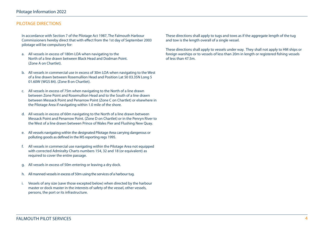# PILOTAGE DIRECTIONS

In accordance with Section 7 of the Pilotage Act 1987, The Falmouth Harbour Commissioners hereby direct that with effect from the 1st day of September 2003 pilotage will be compulsory for:

- a. All vessels in excess of 180m LOA when navigating to the North of a line drawn between Black Head and Dodman Point. (Zone A on Chartlet).
- b. All vessels in commercial use in excess of 30m LOA when navigating to the West of a line drawn between Rosemullion Head and Position Lat 50 03.35N Long 5 01.60W (WGS 84). (Zone B on Chartlet).
- c. All vessels in excess of 75m when navigating to the North of a line drawn between Zone Point and Rosemullion Head and to the South of a line drawn between Messack Point and Penarrow Point (Zone C on Chartlet) or elsewhere in the Pilotage Area if navigating within 1.0 mile of the shore.
- d. All vessels in excess of 60m navigating to the North of a line drawn between Messack Point and Penarrow Point. (Zone D on Chartlet) or in the Penryn River to the West of a line drawn between Prince of Wales Pier and Flushing New Quay.
- e. All vessels navigating within the designated Pilotage Area carrying dangerous or polluting goods as defined in the MS reporting regs 1995.
- f. All vessels in commercial use navigating within the Pilotage Area not equipped with corrected Admiralty Charts numbers 154, 32 and 18 (or equivalent) as required to cover the entire passage.
- g. All vessels in excess of 50m entering or leaving a dry dock.
- h. All manned vessels in excess of 50m using the services of a harbour tug.
- i. Vessels of any size (save those excepted below) when directed by the harbour master or dock master in the interests of safety of the vessel, other vessels, persons, the port or its infrastructure.

These directions shall apply to tugs and tows as if the aggregate length of the tug and tow is the length overall of a single vessel.

These directions shall apply to vessels under way. They shall not apply to HM ships or foreign warships or to vessels of less than 20m in length or registered fishing vessels of less than 47.5m.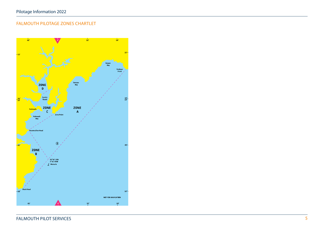# FALMOUTH PILOTAGE ZONES CHARTLET

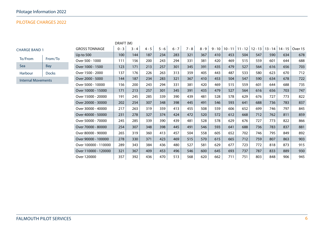# PILOTAGE CHARGES 2022

| DRAFT (M)                 |              |                      |         |         |         |         |         |         |         |     |                              |     |     |                     |           |         |
|---------------------------|--------------|----------------------|---------|---------|---------|---------|---------|---------|---------|-----|------------------------------|-----|-----|---------------------|-----------|---------|
| <b>CHARGE BAND 1</b>      |              | <b>GROSS TONNAGE</b> | $0 - 3$ | $3 - 4$ | $4 - 5$ | $5 - 6$ | $6 - 7$ | $7 - 8$ | $8 - 9$ |     | $9 - 10$   10 - 11   11 - 12 |     |     | $12 - 13$   13 - 14 | $14 - 15$ | Over 15 |
|                           |              | Up to $500$          | 100     | 144     | 187     | 234     | 283     | 321     | 367     | 410 | 453                          | 504 | 547 | 590                 | 634       | 678     |
| To/From                   | From/To      | Over 500 - 1000      | 111     | 156     | 200     | 243     | 294     | 331     | 381     | 420 | 469                          | 515 | 559 | 601                 | 644       | 688     |
| Sea                       | Bay          | Over 1000 - 1500     | 123     | 171     | 213     | 257     | 301     | 345     | 391     | 435 | 479                          | 527 | 564 | 616                 | 656       | 703     |
| Harbour                   | <b>Docks</b> | Over 1500 - 2000     | 137     | 176     | 226     | 263     | 313     | 359     | 405     | 443 | 487                          | 533 | 580 | 623                 | 670       | 712     |
| <b>Internal Movements</b> |              | Over 2000 - 5000     | 144     | 187     | 234     | 283     | 321     | 367     | 410     | 453 | 504                          | 547 | 590 | 634                 | 678       | 722     |
|                           |              | Over 5000 - 10000    | 156     | 200     | 243     | 294     | 331     | 381     | 420     | 469 | 515                          | 559 | 601 | 644                 | 688       | 735     |
|                           |              | Over 10000 - 15000   | 171     | 213     | 257     | 301     | 345     | 391     | 435     | 479 | 527                          | 564 | 616 | 656                 | 703       | 747     |
|                           |              | Over 15000 - 20000   | 191     | 245     | 285     | 339     | 390     | 439     | 481     | 528 | 578                          | 629 | 676 | 727                 | 773       | 822     |
|                           |              | Over 20000 - 30000   | 202     | 254     | 307     | 348     | 398     | 445     | 491     | 546 | 593                          | 641 | 688 | 736                 | 783       | 837     |
|                           |              | Over 30000 - 40000   | 217     | 263     | 319     | 359     | 413     | 455     | 508     | 559 | 606                          | 652 | 699 | 746                 | 797       | 845     |
|                           |              | Over 40000 - 50000   | 231     | 278     | 327     | 374     | 424     | 472     | 520     | 572 | 612                          | 668 | 712 | 762                 | 811       | 859     |
|                           |              | Over 50000 - 70000   | 245     | 285     | 339     | 390     | 439     | 481     | 528     | 578 | 629                          | 676 | 727 | 773                 | 822       | 866     |
|                           |              | Over 70000 - 80000   | 254     | 307     | 348     | 398     | 445     | 491     | 546     | 593 | 641                          | 688 | 736 | 783                 | 837       | 881     |
|                           |              | Over 80000 - 90000   | 265     | 319     | 360     | 413     | 457     | 504     | 558     | 605 | 652                          | 702 | 746 | 795                 | 849       | 892     |
|                           |              | Over 90000 - 100000  | 278     | 330     | 371     | 423     | 469     | 515     | 570     | 615 | 665                          | 712 | 759 | 807                 | 863       | 903     |
|                           |              | Over 100000 - 110000 | 289     | 343     | 384     | 436     | 480     | 527     | 581     | 629 | 677                          | 723 | 772 | 818                 | 873       | 915     |
|                           |              | Over 110000 - 120000 | 321     | 367     | 409     | 453     | 496     | 546     | 600     | 645 | 693                          | 737 | 787 | 833                 | 889       | 930     |
|                           |              | Over 120000          | 357     | 392     | 436     | 470     | 513     | 568     | 620     | 662 | 711                          | 751 | 803 | 848                 | 906       | 945     |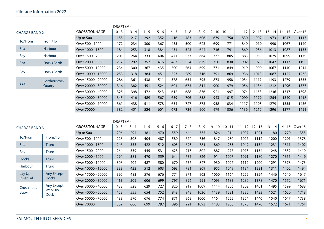|                      |                    |                      | DRAFT(M) |         |         |         |         |         |         |      |                  |      |                   |           |           |                             |
|----------------------|--------------------|----------------------|----------|---------|---------|---------|---------|---------|---------|------|------------------|------|-------------------|-----------|-----------|-----------------------------|
| <b>CHARGE BAND 2</b> |                    | <b>GROSS TONNAGE</b> | $0 - 3$  | $3 - 4$ | $4 - 5$ | $5 - 6$ | $6 - 7$ | $7 - 8$ | $8 - 9$ |      | $9 - 10$ 10 - 11 |      | $11 - 12$ 12 - 13 | $13 - 14$ | $14 - 15$ | Over 15                     |
|                      |                    | <b>Up to 500</b>     | 155      | 217     | 292     | 352     | 416     | 483     | 606     | 679  | 750              | 830  | 902               | 973       | 1047      | 1117                        |
| To/From              | From/To            | Over 500 - 1000      | 172      | 234     | 300     | 367     | 435     | 500     | 623     | 699  | 771              | 849  | 919               | 990       | 1067      | 1140                        |
| Sea                  | Harbour            | Over 1000 - 1500     | 184      | 253     | 318     | 384     | 451     | 523     | 644     | 716  | 791              | 869  | 936               | 1013      | 1087      | 1155                        |
| <b>Bay</b>           | Harbour            | Over 1500 - 2000     | 201      | 264     | 333     | 404     | 471     | 533     | 664     | 732  | 805              | 883  | 953               | 1029      | 1099      | 1179                        |
| Sea                  | <b>Docks Berth</b> | Over 2000 - 5000     | 217      | 292     | 352     | 416     | 483     | 554     | 679     | 750  | 830              | 902  | 973               | 1047      | 1117      | 1195                        |
|                      |                    | Over 5000 - 10000    | 234      | 300     | 367     | 435     | 500     | 564     | 699     | 771  | 849              | 919  | 990               | 1067      | 1140      | 1214                        |
| Bay                  | <b>Docks Berth</b> | Over 10000 - 15000   | 253      | 318     | 384     | 451     | 523     | 589     | 716     | 791  | 869              | 936  | 1013              | 1087      | 1155      | 1235                        |
|                      | Porthoustock       | Over 15000 - 20000   | 286      | 361     | 438     | 511     | 578     | 654     | 795     | 873  | 958              | 1034 | 1117              | 1193      | 1279      | 1355                        |
| Sea                  | Quarry             | Over 20000 - 30000   | 316      | 382     | 451     | 524     | 601     | 673     | 814     | 900  | 979              | 1056 | 1136              | 1212      | 1296      | 1377                        |
|                      |                    | Over 30000 - 40000   | 325      | 398     | 472     | 543     | 612     | 688     | 836     | 921  | 997              | 1074 | 1158              | 1236      | 1317      | 1398                        |
|                      |                    | Over 40000 - 50000   | 345      | 416     | 489     | 567     | 639     | 706     | 858     | 943  | 1015             | 1099 | 1179              | 1254      | 1340      | 1418                        |
|                      |                    | Over 50000 - 70000   | 361      | 438     | 511     | 578     | 654     | 727     | 873     | 958  | 1034             | 1117 | 1193              | 1279      | 1355      | 1436                        |
|                      |                    | Over 70000           | 382      | 451     | 524     | 601     | 673     | 739     | 900     | 979  | 1056             | 1136 | 1212              | 1296      | 1377      | 1451                        |
|                      |                    |                      |          |         |         |         |         |         |         |      |                  |      |                   |           |           |                             |
|                      |                    |                      |          |         |         |         |         |         |         |      |                  |      |                   |           |           |                             |
|                      |                    |                      | DRAFT(M) |         |         |         |         |         |         |      |                  |      |                   |           |           |                             |
| <b>CHARGE BAND 3</b> |                    | <b>GROSS TONNAGE</b> | $0 - 3$  | $3 - 4$ | $4 - 5$ | $5 - 6$ | $6 - 7$ | $7 - 8$ | $8 - 9$ |      | $9 - 10$ 10 - 11 |      | $11 - 12$ 12 - 13 |           |           | 13 - 14   14 - 15   Over 15 |
|                      |                    | <b>Up to 500</b>     | 206      | 294     | 381     | 470     | 559     | 644     | 735     | 826  | 914              | 1007 | 1091              | 1180      | 1270      | 1355                        |
| To/From              | From/To            | Over 500 - 1000      | 228      | 308     | 404     | 487     | 580     | 670     | 756     | 847  | 930              | 1027 | 1112              | 1200      | 1291      | 1378                        |
| Sea                  | <b>Truro</b>       | Over 1000 - 1500     | 246      | 333     | 422     | 512     | 603     | 693     | 781     | 869  | 955              | 1049 | 1134              | 1231      | 1311      | 1402                        |
| Bay                  | <b>Truro</b>       | Over 1500 - 2000     | 264      | 359     | 445     | 531     | 623     | 713     | 802     | 887  | 977              | 1073 | 1154              | 1248      | 1332      | 1419                        |
| <b>Docks</b>         | Truro              | Over 2000 - 5000     | 294      | 381     | 470     | 559     | 644     | 735     | 826     | 914  | 1007             | 1091 | 1180              | 1270      | 1355      | 1449                        |
|                      |                    | Over 5000 - 10000    | 308      | 404     | 487     | 580     | 670     | 756     | 847     | 930  | 1027             | 1112 | 1200              | 1291      | 1378      | 1473                        |
| Harbour              | <b>Truro</b>       | Over 10000 - 15000   | 333      | 422     | 512     | 603     | 693     | 781     | 869     | 955  | 1049             | 1134 | 1231              | 1311      | 1402      | 1494                        |
| Lay Up               | Any Except         | Over 15000 - 20000   | 390      | 483     | 576     | 676     | 774     | 871     | 963     | 1060 | 1164             | 1252 | 1354              | 1446      | 1540      | 1647                        |
| <b>River Fal</b>     | <b>Docks</b>       | Over 20000 - 30000   | 413      | 509     | 606     | 699     | 797     | 896     | 991     | 1093 | 1183             | 1280 | 1378              | 1470      | 1572      | 1671                        |
| Crossroads           | Any Except         | Over 30000 - 40000   | 438      | 528     | 629     | 727     | 820     | 919     | 1009    | 1114 | 1206             | 1302 | 1401              | 1495      | 1599      | 1688                        |
| <b>Buoy</b>          | Wet/Dry            | Over 40000 - 50000   | 458      | 555     | 654     | 752     | 848     | 943     | 1036    | 1139 | 1231             | 1335 | 1423              | 1521      | 1620      | 1718                        |
|                      | <b>Dock</b>        | Over 50000 - 70000   | 483      | 576     | 676     | 774     | 871     | 963     | 1060    | 1164 | 1252             | 1354 | 1446              | 1540      | 1647      | 1738                        |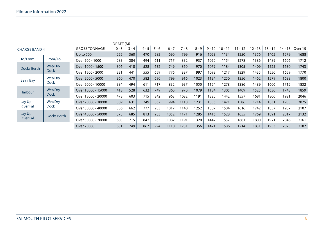|                                     |             |                      | DRAFT <sub>(M)</sub> |         |         |         |         |         |         |          |           |           |           |           |           |         |
|-------------------------------------|-------------|----------------------|----------------------|---------|---------|---------|---------|---------|---------|----------|-----------|-----------|-----------|-----------|-----------|---------|
| <b>CHARGE BAND 4</b>                |             | <b>GROSS TONNAGE</b> | $0 - 3$              | $3 - 4$ | $4 - 5$ | $5 - 6$ | $6 - 7$ | $7 - 8$ | $8 - 9$ | $9 - 10$ | $10 - 11$ | $11 - 12$ | $12 - 13$ | $13 - 14$ | $14 - 15$ | Over 15 |
|                                     |             | Up to $500$          | 255                  | 360     | 470     | 582     | 690     | 799     | 916     | 1023     | 1134      | 1250      | 1356      | 1462      | 1579      | 1688    |
| To/From                             | From/To     | Over 500 - 1000      | 283                  | 384     | 494     | 611     | 717     | 832     | 937     | 1050     | 1154      | 1278      | 1386      | 1489      | 1606      | 1712    |
| Docks Berth                         | Wet/Dry     | Over 1000 - 1500     | 306                  | 418     | 528     | 632     | 749     | 860     | 970     | 1079     | 1184      | 1305      | 1409      | 1525      | 1630      | 1743    |
|                                     | <b>Dock</b> | Over 1500 - 2000     | 331                  | 441     | 555     | 659     | 776     | 887     | 997     | 1098     | 1217      | 1329      | 1435      | 1550      | 1659      | 1770    |
| Wet/Dry<br>Sea / Bay<br><b>Dock</b> |             | Over 2000 - 5000     | 360                  | 470     | 582     | 690     | 799     | 916     | 1023    | 1134     | 1250      | 1356      | 1462      | 1579      | 1688      | 1800    |
|                                     |             | Over 5000 - 10000    | 384                  | 494     | 611     | 717     | 832     | 937     | 1050    | 1154     | 1278      | 1386      | 1489      | 1606      | 1712      | 1832    |
| <b>Harbour</b>                      | Wet/Dry     | Over 10000 - 15000   | 418                  | 528     | 632     | 749     | 860     | 970     | 1079    | 1184     | 1305      | 1409      | 1525      | 1630      | 1743      | 1859    |
|                                     | <b>Dock</b> | Over 15000 - 20000   | 478                  | 603     | 715     | 842     | 963     | 1082    | 1191    | 1320     | 1442      | 1557      | 1681      | 1800      | 1921      | 2046    |
| Lay Up                              | Wet/Dry     | Over 20000 - 30000   | 509                  | 631     | 749     | 867     | 994     | 1110    | 1231    | 1356     | 1471      | 1586      | 1714      | 1831      | 1953      | 2075    |
| <b>River Fal</b>                    | <b>Dock</b> | Over 30000 - 40000   | 536                  | 662     | 777     | 903     | 1017    | 140     | 1252    | 1387     | 1504      | 1616      | 1742      | 1857      | 1987      | 2107    |
| Lay Up                              | Docks Berth | Over 40000 - 50000   | 573                  | 685     | 813     | 933     | 1052    | 1171    | 1285    | 1416     | 1528      | 1655      | 1769      | 1891      | 2017      | 2132    |
| <b>River Fal</b>                    |             | Over 50000 - 70000   | 603                  | 715     | 842     | 963     | 1082    | 1191    | 1320    | 1442     | 1557      | 1681      | 1800      | 1921      | 2046      | 2161    |
|                                     |             | Over 70000           | 631                  | 749     | 867     | 994     | 1110    | 1231    | 1356    | 1471     | 1586      | 1714      | 1831      | 1953      | 2075      | 2187    |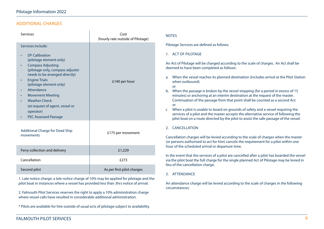# ADDITIONAL CHARGES

| <b>Services</b>                                                                                                                                                                                                                                                                       | Cost<br>(hourly rate outside of Pilotage) | <b>NOTES</b>                                                                                              |
|---------------------------------------------------------------------------------------------------------------------------------------------------------------------------------------------------------------------------------------------------------------------------------------|-------------------------------------------|-----------------------------------------------------------------------------------------------------------|
| Services include:<br><b>DF Calibration</b><br>(pilotage element only)<br><b>Compass Adjusting</b><br>(pilotage only, compass adjuster<br>needs to be arranged directly)<br><b>Engine Trials</b><br>$\bullet$<br>(pilotage element only)<br>Attendance<br>٠<br><b>Movement Meeting</b> | £140 per hour                             | <b>Pilotage S</b><br>1. ACTC<br>An Act of<br>deemed to<br>When<br>a.<br>when<br>or<br>When<br>b.<br>minut |
| <b>Weather Check</b><br>(at request of agent, vessel or<br>operator)<br><b>PEC Assessed Passage</b>                                                                                                                                                                                   |                                           | Contir<br><b>or</b><br>When<br>C.<br>servic<br>pilot k                                                    |
| <b>Additional Charge for Dead Ship</b><br>movements                                                                                                                                                                                                                                   | £175 per movement                         | 2.<br><b>CANC</b><br>Cancellati<br>(or person                                                             |
| Ferry collection and delivery                                                                                                                                                                                                                                                         | £1,229                                    | hour of th                                                                                                |
| Cancellation                                                                                                                                                                                                                                                                          | £273                                      | In the eve<br>via the pile                                                                                |
| Second pilot                                                                                                                                                                                                                                                                          | As per first pilot charges                | lieu of the<br><b>ATTEN</b><br>२                                                                          |

1. Late notice charge: a late notice charge of 10% may be applied for pilotage and the pilot boat in instances where a vessel has provided less than 3hrs notice of arrival.

2. Falmouth Pilot Services reserves the right to apply a 10% administration charge where vessel calls have resulted in considerable additional administration.

\* Pilots are available for hire outside of usual acts of pilotage subject to availability.

 $S$ ervices are defined as follows:

# **DE PILOTAGE**

Pilotage will be charged according to the scale of charges. An Act shall be to have been completed as follows:

- the vessel reaches its planned destination (includes arrival at the Pilot Station outbound).
- the passage is broken by the vessel stopping (for a period in excess of 15 tes) or anchoring at an interim destination at the request of the master. nuation of the passage from that point shall be counted as a second Act.
- a pilot is unable to board on grounds of safety and a vessel requiring the tes of a pilot and the master accepts the alternative service of following the boat on a route directed by the pilot to assist the safe passage of the vessel.

## **FILATION**

ion charges will be levied according to the scale of charges when the master Is authorised to act for him) cancels the requirement for a pilot within one he scheduled arrival or departure time.

Int that the services of a pilot are cancelled after a pilot has boarded the vessel lot boat the full charge for the single planned Act of Pilotage may be levied in cancellation charge.

## 3. ATTENDANCE

An attendance charge will be levied according to the scale of charges in the following circumstances: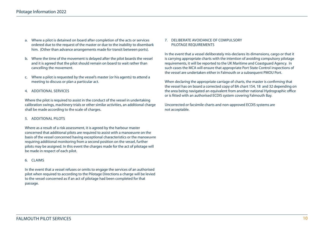- a. Where a pilot is detained on board after completion of the acts or services ordered due to the request of the master or due to the inability to disembark him. (Other than advance arrangements made for transit between ports).
- b. Where the time of the movement is delayed after the pilot boards the vessel and it is agreed that the pilot should remain on board to wait rather than cancelling the movement.
- c. Where a pilot is requested by the vessel's master (or his agents) to attend a meeting to discuss or plan a particular act.
- 4. ADDITIONAL SERVICES

Where the pilot is required to assist in the conduct of the vessel in undertaking calibration swings, machinery trials or other similar activities, an additional charge shall be made according to the scale of charges.

#### 5. ADDITIONAL PILOTS

Where as a result of a risk assessment, it is agreed by the harbour master concerned that additional pilots are required to assist with a manoeuvre on the basis of the vessel concerned having exceptional characteristics or the manoeuvre requiring additional monitoring from a second position on the vessel, further pilots may be assigned. In this event the charges made for the act of pilotage will be made in respect of each pilot.

#### 6. CLAIMS

In the event that a vessel refuses or omits to engage the services of an authorised pilot when required to according to the Pilotage Directions a charge will be levied to the vessel concerned as if an act of pilotage had been completed for that passage.

#### 7. DELIBERATE AVOIDANCE OF COMPULSORY PILOTAGE REQUIREMENTS

In the event that a vessel deliberately mis-declares its dimensions, cargo or that it is carrying appropriate charts with the intention of avoiding compulsory pilotage requirements, it will be reported to the UK Maritime and Coastguard Agency. In such cases the MCA will ensure that appropriate Port State Control inspections of the vessel are undertaken either in Falmouth or a subsequent PMOU Port.

When declaring the appropriate carriage of charts, the master is confirming that the vessel has on board a corrected copy of BA chart 154, 18 and 32 depending on the area being navigated an equivalent from another national Hydrographic office or is fitted with an authorised ECDIS system covering Falmouth Bay.

Uncorrected or facsimile charts and non-approved ECDIS systems are not acceptable.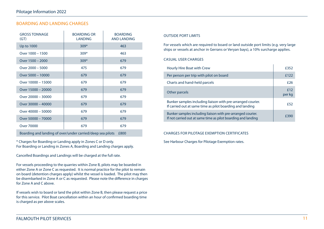# BOARDING AND LANDING CHARGES

| <b>GROSS TONNAGE</b><br>(GT)                               | <b>BOARDING OR</b><br><b>LANDING</b> | <b>BOARDING</b><br><b>AND LANDING</b> |
|------------------------------------------------------------|--------------------------------------|---------------------------------------|
| Up to 1000                                                 | $309*$                               | 463                                   |
| Over 1000 - 1500                                           | $309*$                               | 463                                   |
| Over 1500 - 2000                                           | $309*$                               | 679                                   |
| Over 2000 - 5000                                           | 475                                  | 679                                   |
| Over 5000 - 10000                                          | 679                                  | 679                                   |
| Over 10000 - 15000                                         | 679                                  | 679                                   |
| Over 15000 - 20000                                         | 679                                  | 679                                   |
| Over 20000 - 30000                                         | 679                                  | 679                                   |
| Over 30000 - 40000                                         | 679                                  | 679                                   |
| Over 40000 - 50000                                         | 679                                  | 679                                   |
| Over 50000 - 70000                                         | 679                                  | 679                                   |
| <b>Over 70000</b>                                          | 679                                  | 679                                   |
| Boarding and landing of over/under carried/deep sea pilots |                                      | £800                                  |

\* Charges for Boarding or Landing apply in Zones C or D only. For Boarding or Landing in Zones A, Boarding and Landing charges apply.

Cancelled Boardings and Landings will be charged at the full rate.

For vessels proceeding to the quarries within Zone B, pilots may be boarded in either Zone A or Zone C as requested. It is normal practice for the pilot to remain on board (detention charges apply) whilst the vessel is loaded. The pilot may then be disembarked in Zone A or C as requested. Please note the difference in charges for Zone A and C above.

If vessels wish to board or land the pilot within Zone B, then please request a price for this service. Pilot Boat cancellation within an hour of confirmed boarding time is charged as per above scales.

## OUTSIDE PORT LIMITS

For vessels which are required to board or land outside port limits (e.g. very large ships or vessels at anchor in Gerrans or Veryan bays), a 10% surcharge applies.

#### CASUAL USER CHARGES

| Hourly Hire Boat with Crew                                                                                                   | £352          |
|------------------------------------------------------------------------------------------------------------------------------|---------------|
| Per person per trip with pilot on board                                                                                      | £122          |
| Charts and hand-held parcels                                                                                                 | f26           |
| Other parcels                                                                                                                | f12<br>per kg |
| Bunker samples including liaison with pre-arranged courier.<br>If carried out at same time as pilot boarding and landing     | £52           |
| Bunker samples including liaison with pre-arranged courier.<br>If not carried out at same time as pilot boarding and landing | £390          |

#### CHARGES FOR PILOTAGE EXEMPTION CERTIFICATES

See Harbour Charges for Pilotage Exemption rates.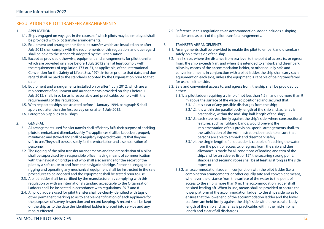# REGULATION 23 PILOT TRANSFER ARRANGEMENTS

- 1. APPLICATION
	- 1.1. Ships engaged on voyages in the course of which pilots may be employed shall be provided with pilot transfer arrangements.
	- 1.2. Equipment and arrangements for pilot transfer which are installed on or after 1 July 2012 shall comply with the requirements of this regulation, and due regard shall be paid to the standards adopted by the Organisation.
	- 1.3. Except as provided otherwise, equipment and arrangements for pilot transfer which are provided on ships before 1 July 2012 shall at least comply with the requirements of regulation 173 or 23, as applicable, of the International Convention for the Safety of Life at Sea, 1974, in force prior to that date, and due regard shall be paid to the standards adopted by the Organisation prior to that date.
	- 1.4. Equipment and arrangements installed on or after 1 July 2012, which are a replacement of equipment and arrangements provided on ships before 1 July 2012, shall, in so far as is reasonable and practicable, comply with the requirements of this regulation.
	- 1.5. With respect to ships constructed before 1 January 1994, paragraph 5 shall apply not later than the first survey on or after 1 July 2012.
	- 1.6. Paragraph 6 applies to all ships.
- 2. GENERAL
	- 2.1. All arrangements used for pilot transfer shall efficiently fulfil their purpose of enabling pilots to embark and disembark safely. The appliances shall be kept clean, properly maintained and stowed and shall be regularly inspected to ensure that they are safe to use. They shall be used solely for the embarkation and disembarkation of personnel.
	- 2.2. The rigging of the pilot transfer arrangements and the embarkation of a pilot shall be supervised by a responsible officer having means of communication with the navigation bridge and who shall also arrange for the escort of the pilot by a safe route to and from the navigation bridge. Personnel engaged in rigging and operating any mechanical equipment shall be instructed in the safe procedures to be adopted and the equipment shall be tested prior to use.
	- 2.3. A pilot ladder shall be certified by the manufacturer as complying with this regulation or with an international standard acceptable to the Organisation. Ladders shall be inspected in accordance with regulations I/6, 7 and 8.
	- 2.4. All pilot ladders used for pilot transfer shall be clearly identified with tags or other permanent marking so as to enable identification of each appliance for the purposes of survey, inspection and record keeping. A record shall be kept on the ship as to the date the identified ladder is placed into service and any repairs effected.
- 2.5. Reference in this regulation to an accommodation ladder includes a sloping ladder used as part of the pilot transfer arrangements.
- 3. TRANSFER ARRANGEMENTS
	- 3.1. Arrangements shall be provided to enable the pilot to embark and disembark safely on either side of the ship.
	- 3.2. In all ships, where the distance from sea level to the point of access to, or egress from, the ship exceeds 9 m, and when it is intended to embark and disembark pilots by means of the accommodation ladder, or other equally safe and convenient means in conjunction with a pilot ladder, the ship shall carry such equipment on each side, unless the equipment is capable of being transferred for use on either side.
	- 3.3. Safe and convenient access to, and egress from, the ship shall be provided by either:
		- 3.3.1. a pilot ladder requiring a climb of not less than 1.5 m and not more than 9 m above the surface of the water so positioned and secured that: 3.3.1.1. it is clear of any possible discharges from the ship;
			- 3.3.1.2. it is within the parallel body length of the ship and, as far as is practicable, within the mid-ship half length of the ship;
			- 3.3.1.3. each step rests firmly against the ship's side; where constructional features, such as rubbing bands, would prevent the implementation of this provision, special arrangements shall, to the satisfaction of the Administration, be made to ensure that persons are able to embark and disembark safely;
			- 3.3.1.4. the single length of pilot ladder is capable of reaching the water from the point of access to, or egress from, the ship and due allowance is made for all conditions of loading and trim of the ship, and for an adverse list of 15°; the securing strong point, shackles and securing ropes shall be at least as strong as the side ropes; or
		- 3.3.2. an accommodation ladder in conjunction with the pilot ladder (i.e. a combination arrangement), or other equally safe and convenient means, whenever the distance from the surface of the water to the point of access to the ship is more than 9 m. The accommodation ladder shall be sited leading aft. When in use, means shall be provided to secure the lower platform of the accommodation ladder to the ship's side, so as to ensure that the lower end of the accommodation ladder and the lower platform are held firmly against the ship's side within the parallel body length of the ship and, as far as is practicable, within the mid-ship half length and clear of all discharges.